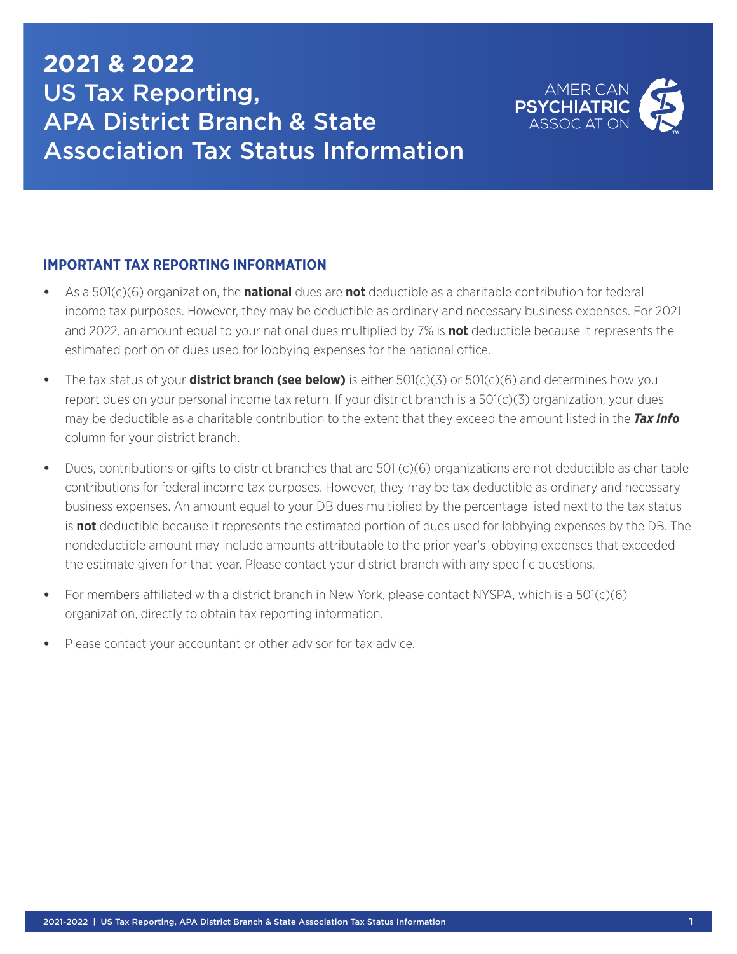## **2021 & 2022** US Tax Reporting, APA District Branch & State Association Tax Status Information



## **IMPORTANT TAX REPORTING INFORMATION**

- **•** As a 501(c)(6) organization, the **national** dues are **not** deductible as a charitable contribution for federal income tax purposes. However, they may be deductible as ordinary and necessary business expenses. For 2021 and 2022, an amount equal to your national dues multiplied by 7% is **not** deductible because it represents the estimated portion of dues used for lobbying expenses for the national office.
- **•** The tax status of your **district branch (see below)** is either 501(c)(3) or 501(c)(6) and determines how you report dues on your personal income tax return. If your district branch is a 501(c)(3) organization, your dues may be deductible as a charitable contribution to the extent that they exceed the amount listed in the *Tax Info* column for your district branch.
- **•** Dues, contributions or gifts to district branches that are 501 (c)(6) organizations are not deductible as charitable contributions for federal income tax purposes. However, they may be tax deductible as ordinary and necessary business expenses. An amount equal to your DB dues multiplied by the percentage listed next to the tax status is **not** deductible because it represents the estimated portion of dues used for lobbying expenses by the DB. The nondeductible amount may include amounts attributable to the prior year's lobbying expenses that exceeded the estimate given for that year. Please contact your district branch with any specific questions.
- **•** For members affiliated with a district branch in New York, please contact NYSPA, which is a 501(c)(6) organization, directly to obtain tax reporting information.
- **•** Please contact your accountant or other advisor for tax advice.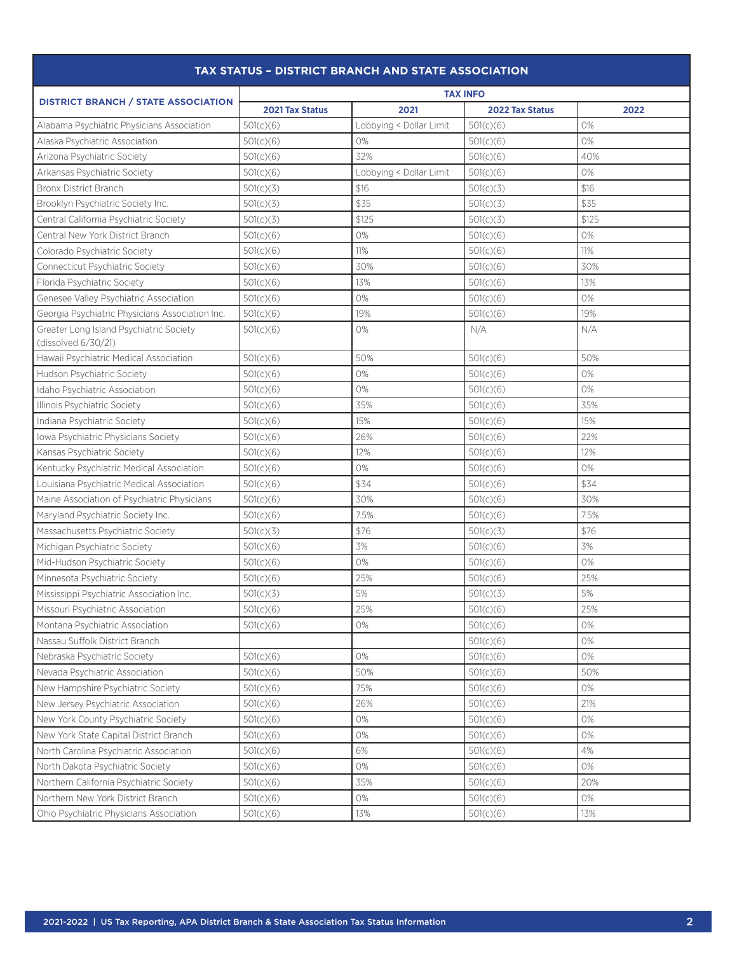| <b>TAX STATUS - DISTRICT BRANCH AND STATE ASSOCIATION</b>      |                 |                         |                        |       |  |  |
|----------------------------------------------------------------|-----------------|-------------------------|------------------------|-------|--|--|
| <b>DISTRICT BRANCH / STATE ASSOCIATION</b>                     | <b>TAX INFO</b> |                         |                        |       |  |  |
|                                                                | 2021 Tax Status | 2021                    | <b>2022 Tax Status</b> | 2022  |  |  |
| Alabama Psychiatric Physicians Association                     | 501(c)(6)       | Lobbying < Dollar Limit | 501(c)(6)              | 0%    |  |  |
| Alaska Psychiatric Association                                 | 501(c)(6)       | 0%                      | 501(c)(6)              | 0%    |  |  |
| Arizona Psychiatric Society                                    | 501(c)(6)       | 32%                     | 501(c)(6)              | 40%   |  |  |
| Arkansas Psychiatric Society                                   | 501(c)(6)       | Lobbying < Dollar Limit | 501(c)(6)              | 0%    |  |  |
| <b>Bronx District Branch</b>                                   | 501(c)(3)       | \$16                    | 501(c)(3)              | \$16  |  |  |
| Brooklyn Psychiatric Society Inc.                              | 501(c)(3)       | \$35                    | 501(c)(3)              | \$35  |  |  |
| Central California Psychiatric Society                         | 501(c)(3)       | \$125                   | 501(c)(3)              | \$125 |  |  |
| Central New York District Branch                               | 501(c)(6)       | 0%                      | 501(c)(6)              | 0%    |  |  |
| Colorado Psychiatric Society                                   | 501(c)(6)       | 11%                     | 501(c)(6)              | 11%   |  |  |
| Connecticut Psychiatric Society                                | 501(c)(6)       | 30%                     | 501(c)(6)              | 30%   |  |  |
| Florida Psychiatric Society                                    | 501(c)(6)       | 13%                     | 501(c)(6)              | 13%   |  |  |
| Genesee Valley Psychiatric Association                         | 501(c)(6)       | 0%                      | 501(c)(6)              | 0%    |  |  |
| Georgia Psychiatric Physicians Association Inc.                | 501(c)(6)       | 19%                     | 501(c)(6)              | 19%   |  |  |
| Greater Long Island Psychiatric Society<br>(dissolved 6/30/21) | 501(c)(6)       | 0%                      | N/A                    | N/A   |  |  |
| Hawaii Psychiatric Medical Association                         | 501(c)(6)       | 50%                     | 501(c)(6)              | 50%   |  |  |
| Hudson Psychiatric Society                                     | 501(c)(6)       | 0%                      | 501(c)(6)              | 0%    |  |  |
| Idaho Psychiatric Association                                  | 501(c)(6)       | 0%                      | 501(c)(6)              | 0%    |  |  |
| Illinois Psychiatric Society                                   | 501(c)(6)       | 35%                     | 501(c)(6)              | 35%   |  |  |
| Indiana Psychiatric Society                                    | 501(c)(6)       | 15%                     | 501(c)(6)              | 15%   |  |  |
| Iowa Psychiatric Physicians Society                            | 501(c)(6)       | 26%                     | 501(c)(6)              | 22%   |  |  |
| Kansas Psychiatric Society                                     | 501(c)(6)       | 12%                     | 501(c)(6)              | 12%   |  |  |
| Kentucky Psychiatric Medical Association                       | 501(c)(6)       | 0%                      | 501(c)(6)              | 0%    |  |  |
| Louisiana Psychiatric Medical Association                      | 501(c)(6)       | \$34                    | 501(c)(6)              | \$34  |  |  |
| Maine Association of Psychiatric Physicians                    | 501(c)(6)       | 30%                     | 501(c)(6)              | 30%   |  |  |
| Maryland Psychiatric Society Inc.                              | 501(c)(6)       | 7.5%                    | 501(c)(6)              | 7.5%  |  |  |
| Massachusetts Psychiatric Society                              | 501(c)(3)       | \$76                    | 501(c)(3)              | \$76  |  |  |
| Michigan Psychiatric Society                                   | 501(c)(6)       | 3%                      | 501(c)(6)              | 3%    |  |  |
| Mid-Hudson Psychiatric Society                                 | 501(c)(6)       | 0%                      | 501(c)(6)              | 0%    |  |  |
| Minnesota Psychiatric Society                                  | 501(c)(6)       | 25%                     | 501(c)(6)              | 25%   |  |  |
| Mississippi Psychiatric Association Inc.                       | 501(c)(3)       | 5%                      | 501(c)(3)              | 5%    |  |  |
| Missouri Psychiatric Association                               | 501(c)(6)       | 25%                     | 501(c)(6)              | 25%   |  |  |
| Montana Psychiatric Association                                | 501(c)(6)       | 0%                      | 501(c)(6)              | 0%    |  |  |
| Nassau Suffolk District Branch                                 |                 |                         | 501(c)(6)              | $0\%$ |  |  |
| Nebraska Psychiatric Society                                   | 501(c)(6)       | 0%                      | 501(c)(6)              | 0%    |  |  |
| Nevada Psychiatric Association                                 | 501(c)(6)       | 50%                     | 501(c)(6)              | 50%   |  |  |
| New Hampshire Psychiatric Society                              | 501(c)(6)       | 75%                     | 501(c)(6)              | 0%    |  |  |
| New Jersey Psychiatric Association                             | 501(c)(6)       | 26%                     | 501(c)(6)              | 21%   |  |  |
| New York County Psychiatric Society                            | 501(c)(6)       | 0%                      | 501(c)(6)              | 0%    |  |  |
| New York State Capital District Branch                         | 501(c)(6)       | 0%                      | 501(c)(6)              | 0%    |  |  |
| North Carolina Psychiatric Association                         | 501(c)(6)       | 6%                      | 501(c)(6)              | 4%    |  |  |
| North Dakota Psychiatric Society                               | 501(c)(6)       | 0%                      | 501(c)(6)              | 0%    |  |  |
| Northern California Psychiatric Society                        | 501(c)(6)       | 35%                     | 501(c)(6)              | 20%   |  |  |
| Northern New York District Branch                              | 501(c)(6)       | $\rm O\%$               | 501(c)(6)              | 0%    |  |  |
| Ohio Psychiatric Physicians Association                        | 501(c)(6)       | 13%                     | 501(c)(6)              | 13%   |  |  |